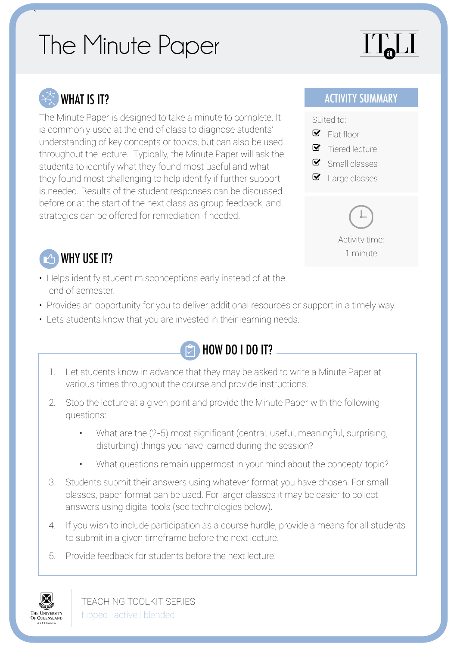## The Minute Paper

# $\prod_{\mathbf{a}}$

## WHAT IS IT?

`

The Minute Paper is designed to take a minute to complete. It is commonly used at the end of class to diagnose students' understanding of key concepts or topics, but can also be used throughout the lecture. Typically, the Minute Paper will ask the students to identify what they found most useful and what they found most challenging to help identify if further support is needed. Results of the student responses can be discussed before or at the start of the next class as group feedback, and strategies can be offered for remediation if needed.

#### ACTIVITY SUMMARY



Activity time: 1 minute

## WHY USE IT?

- Helps identify student misconceptions early instead of at the end of semester.
- Provides an opportunity for you to deliver additional resources or support in a timely way.
- Lets students know that you are invested in their learning needs.



- 1. Let students know in advance that they may be asked to write a Minute Paper at various times throughout the course and provide instructions.
- 2. Stop the lecture at a given point and provide the Minute Paper with the following questions:
	- What are the (2-5) most significant (central, useful, meaningful, surprising, disturbing) things you have learned during the session?
	- What questions remain uppermost in your mind about the concept/ topic?
- 3. Students submit their answers using whatever format you have chosen. For small classes, paper format can be used. For larger classes it may be easier to collect answers using digital tools (see technologies below).
- 4. If you wish to include participation as a course hurdle, provide a means for all students to submit in a given timeframe before the next lecture.
- 5. Provide feedback for students before the next lecture.



TEACHING TOOLKIT SERIES flipped | active | blended